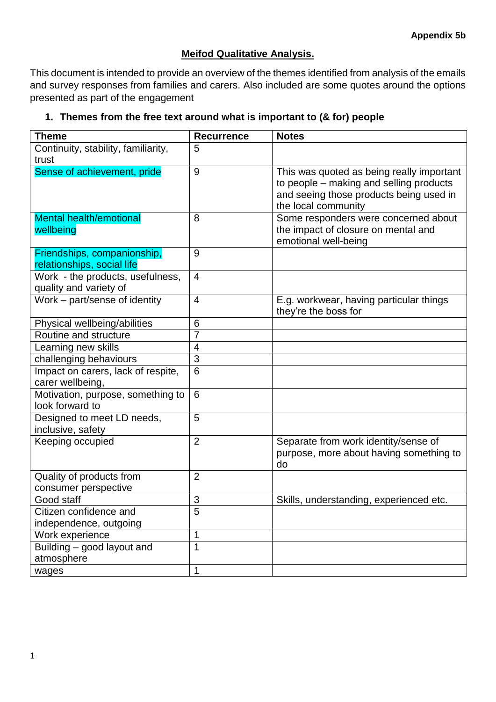## **Meifod Qualitative Analysis.**

This document is intended to provide an overview of the themes identified from analysis of the emails and survey responses from families and carers. Also included are some quotes around the options presented as part of the engagement

## **1. Themes from the free text around what is important to (& for) people**

| <b>Theme</b>                                               | <b>Recurrence</b> | <b>Notes</b>                                                                                                                                           |
|------------------------------------------------------------|-------------------|--------------------------------------------------------------------------------------------------------------------------------------------------------|
| Continuity, stability, familiarity,                        | 5                 |                                                                                                                                                        |
| trust                                                      |                   |                                                                                                                                                        |
| Sense of achievement, pride                                | 9                 | This was quoted as being really important<br>to people – making and selling products<br>and seeing those products being used in<br>the local community |
| <b>Mental health/emotional</b><br>wellbeing                | 8                 | Some responders were concerned about<br>the impact of closure on mental and<br>emotional well-being                                                    |
| Friendships, companionship,<br>relationships, social life  | 9                 |                                                                                                                                                        |
| Work - the products, usefulness,<br>quality and variety of | $\overline{4}$    |                                                                                                                                                        |
| Work - part/sense of identity                              | 4                 | E.g. workwear, having particular things<br>they're the boss for                                                                                        |
| Physical wellbeing/abilities                               | 6                 |                                                                                                                                                        |
| Routine and structure                                      | $\overline{7}$    |                                                                                                                                                        |
| Learning new skills                                        | 4                 |                                                                                                                                                        |
| challenging behaviours                                     | 3                 |                                                                                                                                                        |
| Impact on carers, lack of respite,<br>carer wellbeing,     | 6                 |                                                                                                                                                        |
| Motivation, purpose, something to<br>look forward to       | 6                 |                                                                                                                                                        |
| Designed to meet LD needs,<br>inclusive, safety            | 5                 |                                                                                                                                                        |
| Keeping occupied                                           | $\overline{2}$    | Separate from work identity/sense of<br>purpose, more about having something to<br>do                                                                  |
| Quality of products from<br>consumer perspective           | $\overline{2}$    |                                                                                                                                                        |
| Good staff                                                 | 3                 | Skills, understanding, experienced etc.                                                                                                                |
| Citizen confidence and                                     | 5                 |                                                                                                                                                        |
| independence, outgoing                                     |                   |                                                                                                                                                        |
| Work experience                                            | 1                 |                                                                                                                                                        |
| Building - good layout and<br>atmosphere                   | $\mathbf{1}$      |                                                                                                                                                        |
| wages                                                      | 1                 |                                                                                                                                                        |